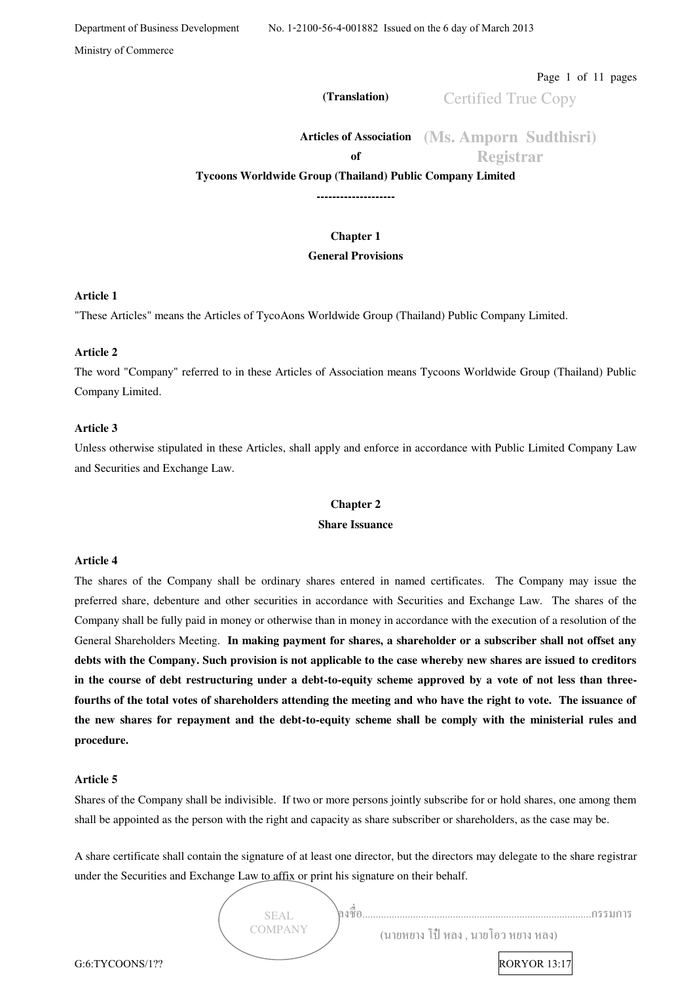Page 1 of 11 pages

**(Translation)** 

Certified True Copy

**Articles of Association (Ms. Amporn Sudthisri) of Registrar** 

**Tycoons Worldwide Group (Thailand) Public Company Limited** 

**--------------------**

# **Chapter 1**

### **General Provisions**

#### **Article 1**

"These Articles" means the Articles of TycoAons Worldwide Group (Thailand) Public Company Limited.

#### **Article 2**

The word "Company" referred to in these Articles of Association means Tycoons Worldwide Group (Thailand) Public Company Limited.

#### **Article 3**

Unless otherwise stipulated in these Articles, shall apply and enforce in accordance with Public Limited Company Law and Securities and Exchange Law.

#### **Chapter 2**

#### **Share Issuance**

#### **Article 4**

The shares of the Company shall be ordinary shares entered in named certificates. The Company may issue the preferred share, debenture and other securities in accordance with Securities and Exchange Law. The shares of the Company shall be fully paid in money or otherwise than in money in accordance with the execution of a resolution of the General Shareholders Meeting. **In making payment for shares, a shareholder or a subscriber shall not offset any debts with the Company. Such provision is not applicable to the case whereby new shares are issued to creditors in the course of debt restructuring under a debt-to-equity scheme approved by a vote of not less than threefourths of the total votes of shareholders attending the meeting and who have the right to vote. The issuance of the new shares for repayment and the debt-to-equity scheme shall be comply with the ministerial rules and procedure.**

#### **Article 5**

Shares of the Company shall be indivisible. If two or more persons jointly subscribe for or hold shares, one among them shall be appointed as the person with the right and capacity as share subscriber or shareholders, as the case may be.

A share certificate shall contain the signature of at least one director, but the directors may delegate to the share registrar under the Securities and Exchange Law to affix or print his signature on their behalf.

> SEAL COMPANY

(นายหยาง โป๋ หลง , นายโอว หยาง หลง)

ลงชื่อ......................................................................................กรรมการ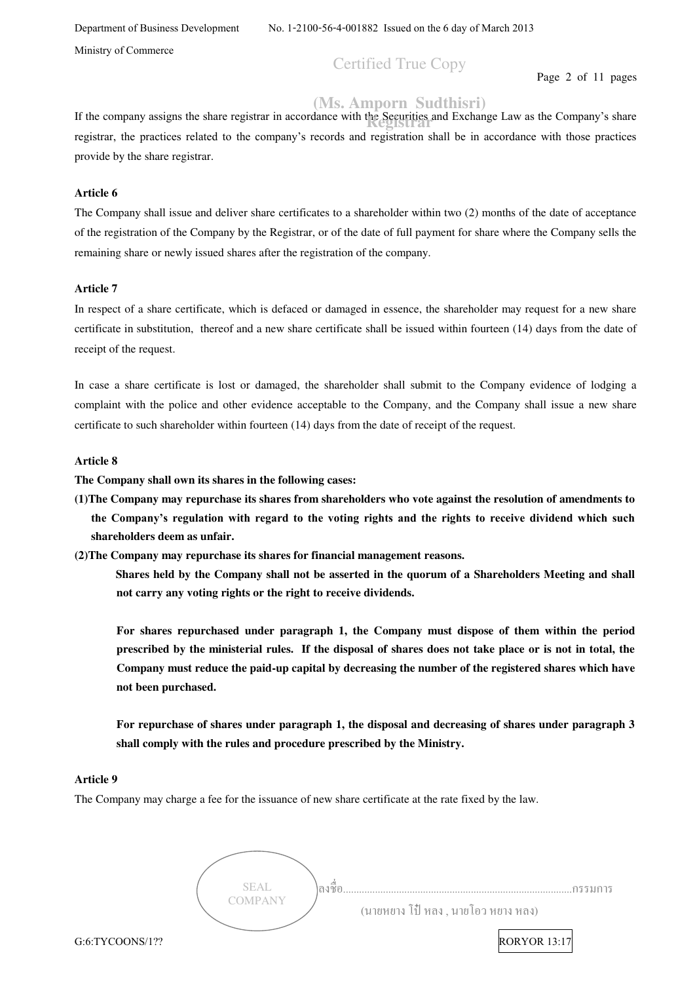# Certified True Copy

Page 2 of 11 pages

## **(Ms. Amporn Sudthisri)**

If the company assigns the share registrar in accordance with the Securities and Exchange Law as the Company's share **Registrar**  registrar, the practices related to the company's records and registration shall be in accordance with those practices provide by the share registrar.

#### **Article 6**

The Company shall issue and deliver share certificates to a shareholder within two (2) months of the date of acceptance of the registration of the Company by the Registrar, or of the date of full payment for share where the Company sells the remaining share or newly issued shares after the registration of the company.

#### **Article 7**

In respect of a share certificate, which is defaced or damaged in essence, the shareholder may request for a new share certificate in substitution, thereof and a new share certificate shall be issued within fourteen (14) days from the date of receipt of the request.

In case a share certificate is lost or damaged, the shareholder shall submit to the Company evidence of lodging a complaint with the police and other evidence acceptable to the Company, and the Company shall issue a new share certificate to such shareholder within fourteen (14) days from the date of receipt of the request.

#### **Article 8**

#### **The Company shall own its shares in the following cases:**

**(1)The Company may repurchase its shares from shareholders who vote against the resolution of amendments to the Company's regulation with regard to the voting rights and the rights to receive dividend which such shareholders deem as unfair.** 

**(2)The Company may repurchase its shares for financial management reasons.** 

**Shares held by the Company shall not be asserted in the quorum of a Shareholders Meeting and shall not carry any voting rights or the right to receive dividends.** 

 **For shares repurchased under paragraph 1, the Company must dispose of them within the period prescribed by the ministerial rules. If the disposal of shares does not take place or is not in total, the Company must reduce the paid-up capital by decreasing the number of the registered shares which have not been purchased.** 

 **For repurchase of shares under paragraph 1, the disposal and decreasing of shares under paragraph 3 shall comply with the rules and procedure prescribed by the Ministry.**

#### **Article 9**

The Company may charge a fee for the issuance of new share certificate at the rate fixed by the law.

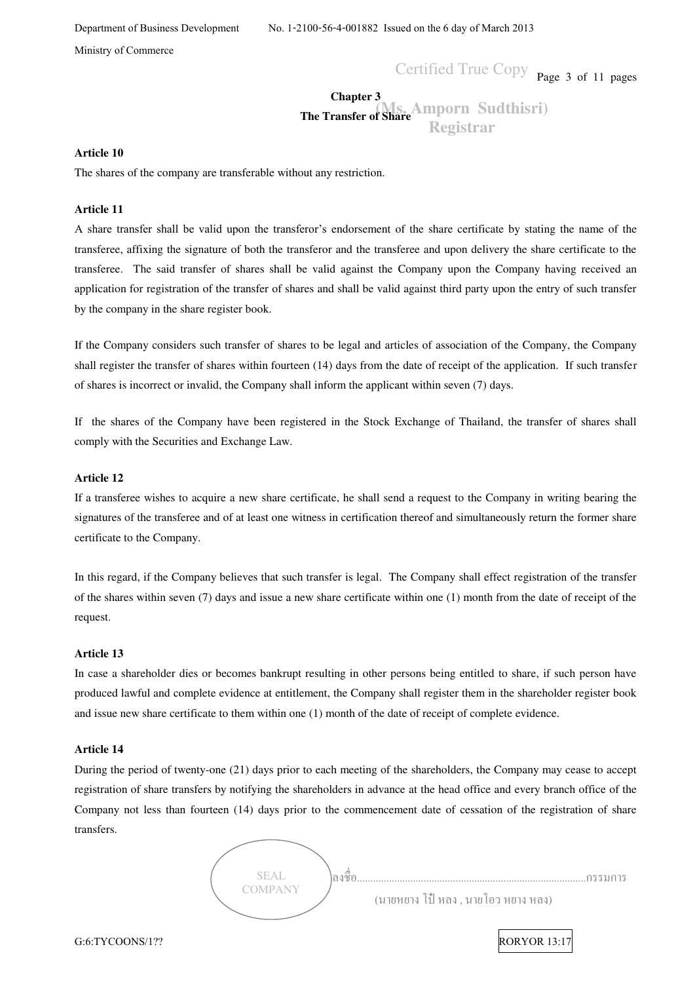Certified True Copy Page 3 of 11 pages

**Chapter 3 The Transfer of Share (Ms. Amporn Sudthisri) Registrar** 

#### **Article 10**

The shares of the company are transferable without any restriction.

#### **Article 11**

A share transfer shall be valid upon the transferor's endorsement of the share certificate by stating the name of the transferee, affixing the signature of both the transferor and the transferee and upon delivery the share certificate to the transferee. The said transfer of shares shall be valid against the Company upon the Company having received an application for registration of the transfer of shares and shall be valid against third party upon the entry of such transfer by the company in the share register book.

If the Company considers such transfer of shares to be legal and articles of association of the Company, the Company shall register the transfer of shares within fourteen (14) days from the date of receipt of the application. If such transfer of shares is incorrect or invalid, the Company shall inform the applicant within seven (7) days.

If the shares of the Company have been registered in the Stock Exchange of Thailand, the transfer of shares shall comply with the Securities and Exchange Law.

#### **Article 12**

If a transferee wishes to acquire a new share certificate, he shall send a request to the Company in writing bearing the signatures of the transferee and of at least one witness in certification thereof and simultaneously return the former share certificate to the Company.

In this regard, if the Company believes that such transfer is legal. The Company shall effect registration of the transfer of the shares within seven (7) days and issue a new share certificate within one (1) month from the date of receipt of the request.

#### **Article 13**

In case a shareholder dies or becomes bankrupt resulting in other persons being entitled to share, if such person have produced lawful and complete evidence at entitlement, the Company shall register them in the shareholder register book and issue new share certificate to them within one (1) month of the date of receipt of complete evidence.

#### **Article 14**

During the period of twenty-one (21) days prior to each meeting of the shareholders, the Company may cease to accept registration of share transfers by notifying the shareholders in advance at the head office and every branch office of the Company not less than fourteen (14) days prior to the commencement date of cessation of the registration of share transfers.

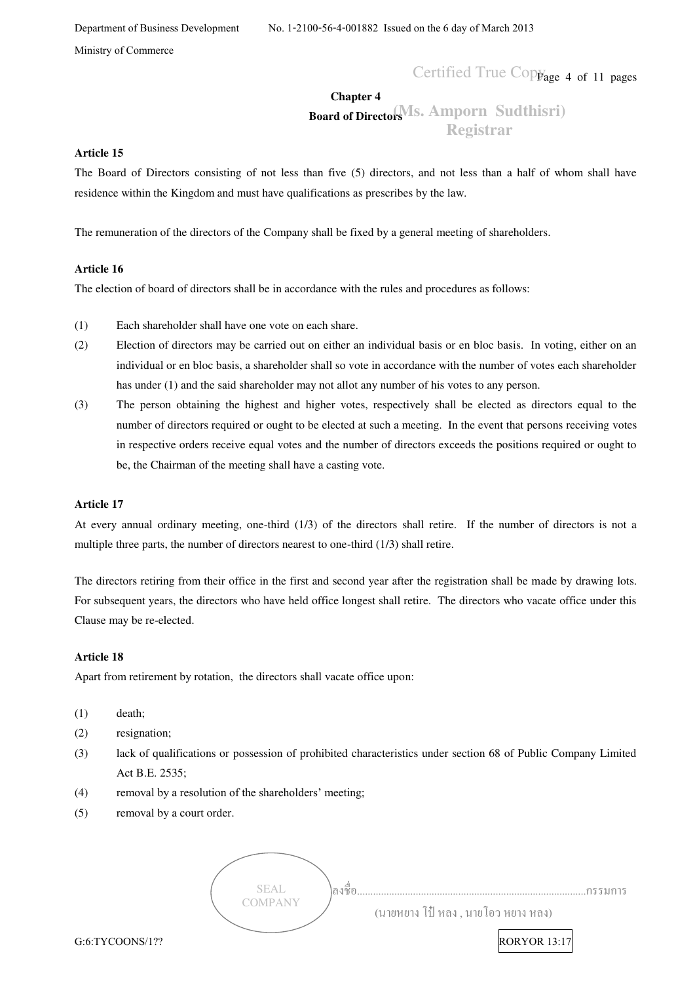# Certified True Copyage 4 of 11 pages

## **Chapter 4 Board of Director**<sup>Ms.</sup> Amporn Sudthisri) **Registrar**

#### **Article 15**

The Board of Directors consisting of not less than five (5) directors, and not less than a half of whom shall have residence within the Kingdom and must have qualifications as prescribes by the law.

The remuneration of the directors of the Company shall be fixed by a general meeting of shareholders.

#### **Article 16**

The election of board of directors shall be in accordance with the rules and procedures as follows:

- (1) Each shareholder shall have one vote on each share.
- (2) Election of directors may be carried out on either an individual basis or en bloc basis. In voting, either on an individual or en bloc basis, a shareholder shall so vote in accordance with the number of votes each shareholder has under (1) and the said shareholder may not allot any number of his votes to any person.
- (3) The person obtaining the highest and higher votes, respectively shall be elected as directors equal to the number of directors required or ought to be elected at such a meeting. In the event that persons receiving votes in respective orders receive equal votes and the number of directors exceeds the positions required or ought to be, the Chairman of the meeting shall have a casting vote.

#### **Article 17**

At every annual ordinary meeting, one-third (1/3) of the directors shall retire. If the number of directors is not a multiple three parts, the number of directors nearest to one-third (1/3) shall retire.

The directors retiring from their office in the first and second year after the registration shall be made by drawing lots. For subsequent years, the directors who have held office longest shall retire. The directors who vacate office under this Clause may be re-elected.

#### **Article 18**

Apart from retirement by rotation, the directors shall vacate office upon:

- (1) death;
- (2) resignation;
- (3) lack of qualifications or possession of prohibited characteristics under section 68 of Public Company Limited Act B.E. 2535;
- (4) removal by a resolution of the shareholders' meeting;
- (5) removal by a court order.

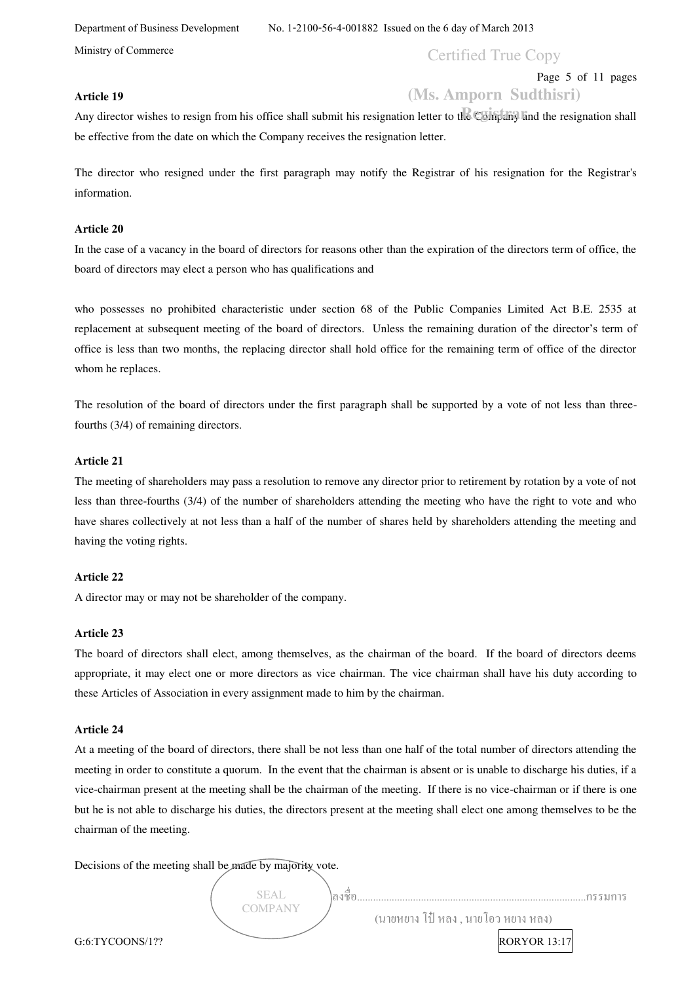Certified True Copy

#### **Article 19**

# Page 5 of 11 pages **(Ms. Amporn Sudthisri)**

Any director wishes to resign from his office shall submit his resignation letter to the Company and the resignation shall be effective from the date on which the Company receives the resignation letter.

The director who resigned under the first paragraph may notify the Registrar of his resignation for the Registrar's information.

#### **Article 20**

In the case of a vacancy in the board of directors for reasons other than the expiration of the directors term of office, the board of directors may elect a person who has qualifications and

who possesses no prohibited characteristic under section 68 of the Public Companies Limited Act B.E. 2535 at replacement at subsequent meeting of the board of directors. Unless the remaining duration of the director's term of office is less than two months, the replacing director shall hold office for the remaining term of office of the director whom he replaces.

The resolution of the board of directors under the first paragraph shall be supported by a vote of not less than threefourths (3/4) of remaining directors.

#### **Article 21**

The meeting of shareholders may pass a resolution to remove any director prior to retirement by rotation by a vote of not less than three-fourths (3/4) of the number of shareholders attending the meeting who have the right to vote and who have shares collectively at not less than a half of the number of shares held by shareholders attending the meeting and having the voting rights.

#### **Article 22**

A director may or may not be shareholder of the company.

#### **Article 23**

The board of directors shall elect, among themselves, as the chairman of the board. If the board of directors deems appropriate, it may elect one or more directors as vice chairman. The vice chairman shall have his duty according to these Articles of Association in every assignment made to him by the chairman.

#### **Article 24**

At a meeting of the board of directors, there shall be not less than one half of the total number of directors attending the meeting in order to constitute a quorum. In the event that the chairman is absent or is unable to discharge his duties, if a vice-chairman present at the meeting shall be the chairman of the meeting. If there is no vice-chairman or if there is one but he is not able to discharge his duties, the directors present at the meeting shall elect one among themselves to be the chairman of the meeting.

Decisions of the meeting shall be made by majority vote.  $\overline{\phantom{0}}$ 

G:6:TYCOONS/1?? RORYOR 13:17 ลงชื่อ......................................................................................กรรมการ (นายหยาง โป๋ หลง , นายโอว หยาง หลง) SEAL COMPANY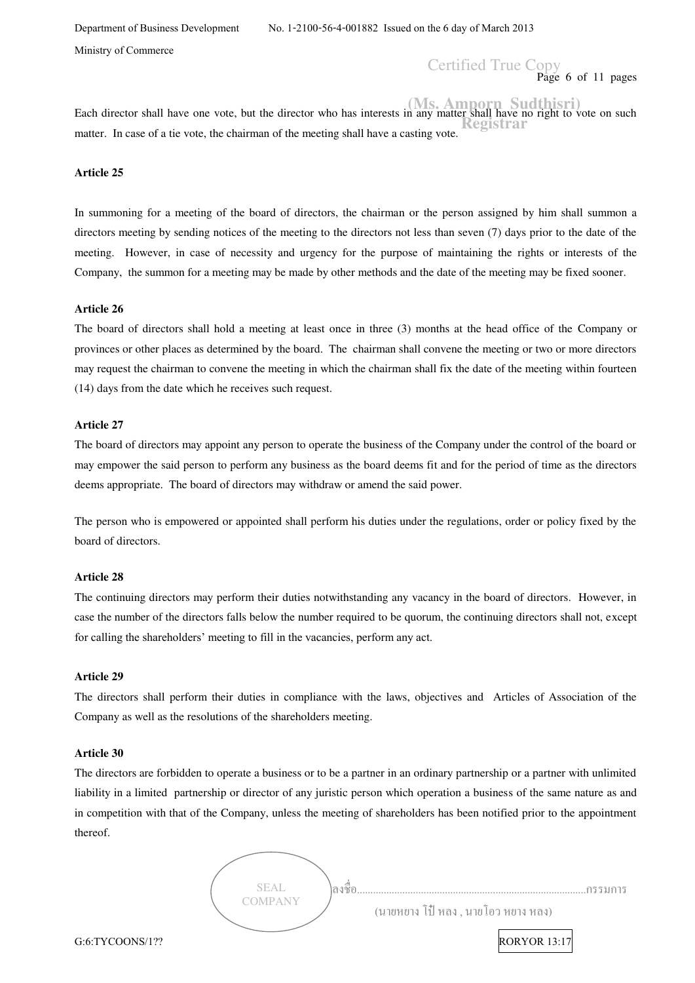Department of Business Development No. 1-2100-56-4-001882 Issued on the 6 day of March 2013 Ministry of Commerce

Page 6 of 11 pages Certified True Copy

Each director shall have one vote, but the director who has interests in any matter shall have no right to vote on such **(Ms. Amporn Sudthisri)**  matter. In case of a tie vote, the chairman of the meeting shall have a casting vote. **Registrar** 

#### **Article 25**

In summoning for a meeting of the board of directors, the chairman or the person assigned by him shall summon a directors meeting by sending notices of the meeting to the directors not less than seven (7) days prior to the date of the meeting. However, in case of necessity and urgency for the purpose of maintaining the rights or interests of the Company, the summon for a meeting may be made by other methods and the date of the meeting may be fixed sooner.

#### **Article 26**

The board of directors shall hold a meeting at least once in three (3) months at the head office of the Company or provinces or other places as determined by the board. The chairman shall convene the meeting or two or more directors may request the chairman to convene the meeting in which the chairman shall fix the date of the meeting within fourteen (14) days from the date which he receives such request.

#### **Article 27**

The board of directors may appoint any person to operate the business of the Company under the control of the board or may empower the said person to perform any business as the board deems fit and for the period of time as the directors deems appropriate. The board of directors may withdraw or amend the said power.

The person who is empowered or appointed shall perform his duties under the regulations, order or policy fixed by the board of directors.

#### **Article 28**

The continuing directors may perform their duties notwithstanding any vacancy in the board of directors. However, in case the number of the directors falls below the number required to be quorum, the continuing directors shall not, except for calling the shareholders' meeting to fill in the vacancies, perform any act.

#### **Article 29**

The directors shall perform their duties in compliance with the laws, objectives and Articles of Association of the Company as well as the resolutions of the shareholders meeting.

#### **Article 30**

The directors are forbidden to operate a business or to be a partner in an ordinary partnership or a partner with unlimited liability in a limited partnership or director of any juristic person which operation a business of the same nature as and in competition with that of the Company, unless the meeting of shareholders has been notified prior to the appointment thereof.

> ลงชื่อ......................................................................................กรรมการ (นายหยาง โป๋ หลง , นายโอว หยาง หลง) SEAL **COMPANY**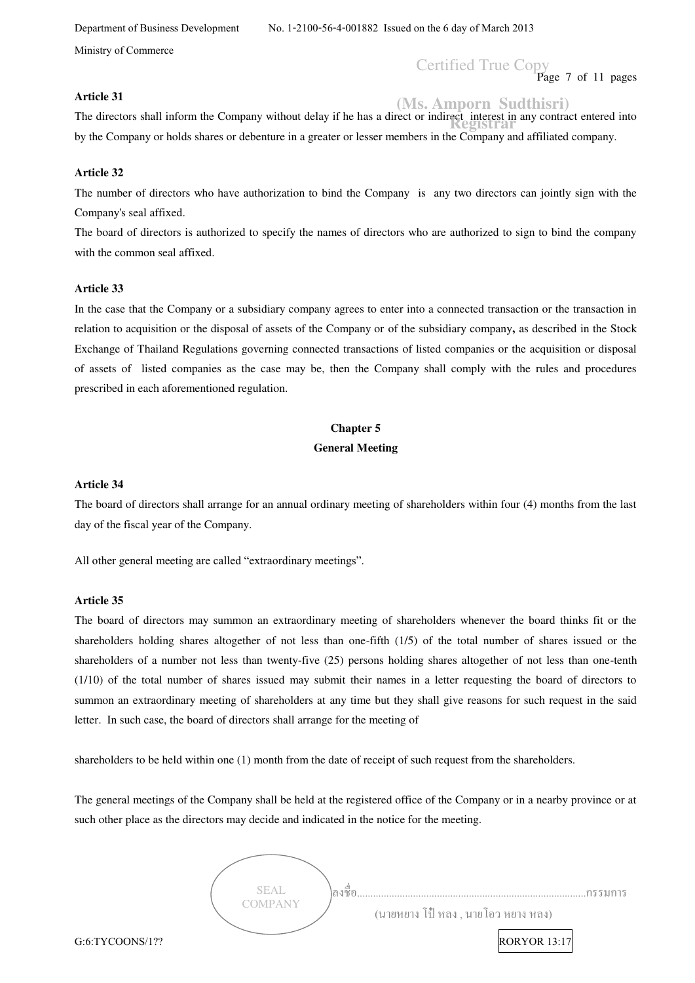# Certified True Copy<br>Page 7 of 11 pages

#### **Article 31**

#### **(Ms. Amporn Sudthisri)**

The directors shall inform the Company without delay if he has a direct or indirect interest in any contract entered into **Registrar**  by the Company or holds shares or debenture in a greater or lesser members in the Company and affiliated company.

#### **Article 32**

The number of directors who have authorization to bind the Company is any two directors can jointly sign with the Company's seal affixed.

The board of directors is authorized to specify the names of directors who are authorized to sign to bind the company with the common seal affixed.

#### **Article 33**

In the case that the Company or a subsidiary company agrees to enter into a connected transaction or the transaction in relation to acquisition or the disposal of assets of the Company or of the subsidiary company**,** as described in the Stock Exchange of Thailand Regulations governing connected transactions of listed companies or the acquisition or disposal of assets of listed companies as the case may be, then the Company shall comply with the rules and procedures prescribed in each aforementioned regulation.

# **Chapter 5 General Meeting**

#### **Article 34**

The board of directors shall arrange for an annual ordinary meeting of shareholders within four (4) months from the last day of the fiscal year of the Company.

All other general meeting are called "extraordinary meetings".

#### **Article 35**

The board of directors may summon an extraordinary meeting of shareholders whenever the board thinks fit or the shareholders holding shares altogether of not less than one-fifth (1/5) of the total number of shares issued or the shareholders of a number not less than twenty-five (25) persons holding shares altogether of not less than one-tenth (1/10) of the total number of shares issued may submit their names in a letter requesting the board of directors to summon an extraordinary meeting of shareholders at any time but they shall give reasons for such request in the said letter. In such case, the board of directors shall arrange for the meeting of

shareholders to be held within one (1) month from the date of receipt of such request from the shareholders.

The general meetings of the Company shall be held at the registered office of the Company or in a nearby province or at such other place as the directors may decide and indicated in the notice for the meeting.

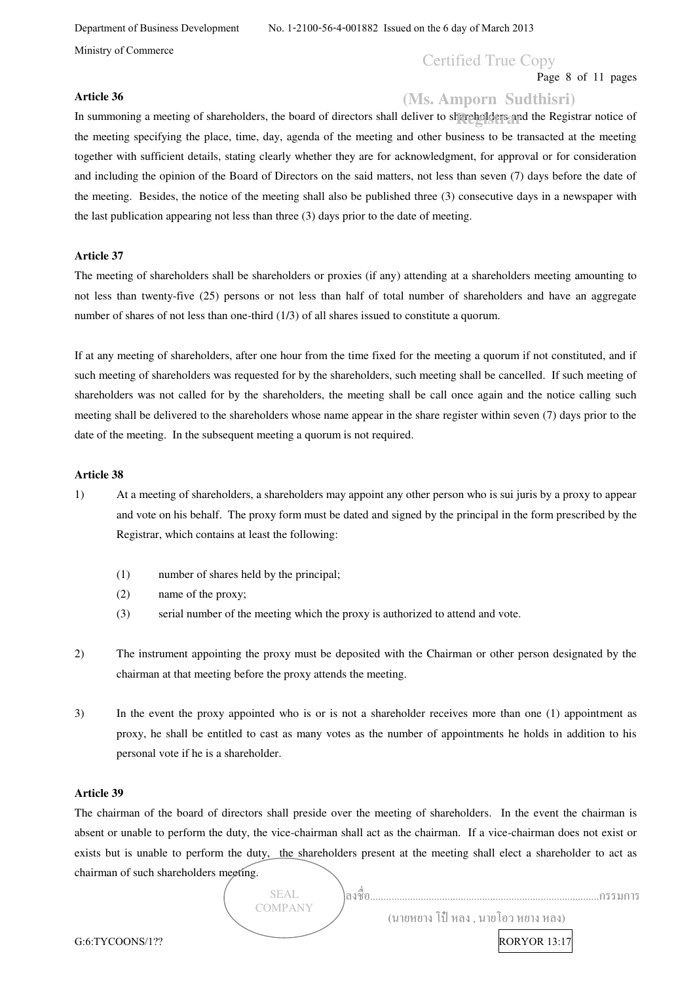# Certified True Copy

Page 8 of 11 pages

#### **Article 36**

# **(Ms. Amporn Sudthisri)**

In summoning a meeting of shareholders, the board of directors shall deliver to shareholders and the Registrar notice of the meeting specifying the place, time, day, agenda of the meeting and other business to be transacted at the meeting together with sufficient details, stating clearly whether they are for acknowledgment, for approval or for consideration and including the opinion of the Board of Directors on the said matters, not less than seven (7) days before the date of the meeting. Besides, the notice of the meeting shall also be published three (3) consecutive days in a newspaper with the last publication appearing not less than three (3) days prior to the date of meeting.

#### **Article 37**

The meeting of shareholders shall be shareholders or proxies (if any) attending at a shareholders meeting amounting to not less than twenty-five (25) persons or not less than half of total number of shareholders and have an aggregate number of shares of not less than one-third (1/3) of all shares issued to constitute a quorum.

If at any meeting of shareholders, after one hour from the time fixed for the meeting a quorum if not constituted, and if such meeting of shareholders was requested for by the shareholders, such meeting shall be cancelled. If such meeting of shareholders was not called for by the shareholders, the meeting shall be call once again and the notice calling such meeting shall be delivered to the shareholders whose name appear in the share register within seven (7) days prior to the date of the meeting. In the subsequent meeting a quorum is not required.

#### **Article 38**

- 1) At a meeting of shareholders, a shareholders may appoint any other person who is sui juris by a proxy to appear and vote on his behalf. The proxy form must be dated and signed by the principal in the form prescribed by the Registrar, which contains at least the following:
	- (1) number of shares held by the principal;
	- (2) name of the proxy;
	- (3) serial number of the meeting which the proxy is authorized to attend and vote.
- 2) The instrument appointing the proxy must be deposited with the Chairman or other person designated by the chairman at that meeting before the proxy attends the meeting.
- 3) In the event the proxy appointed who is or is not a shareholder receives more than one (1) appointment as proxy, he shall be entitled to cast as many votes as the number of appointments he holds in addition to his personal vote if he is a shareholder.

#### **Article 39**

The chairman of the board of directors shall preside over the meeting of shareholders. In the event the chairman is absent or unable to perform the duty, the vice-chairman shall act as the chairman. If a vice-chairman does not exist or exists but is unable to perform the duty, the shareholders present at the meeting shall elect a shareholder to act as chairman of such shareholders meeting.

> SEAL COMPANY

(นายหยาง โป๋ หลง , นายโอว หยาง หลง)

ลงชื่อ......................................................................................กรรมการ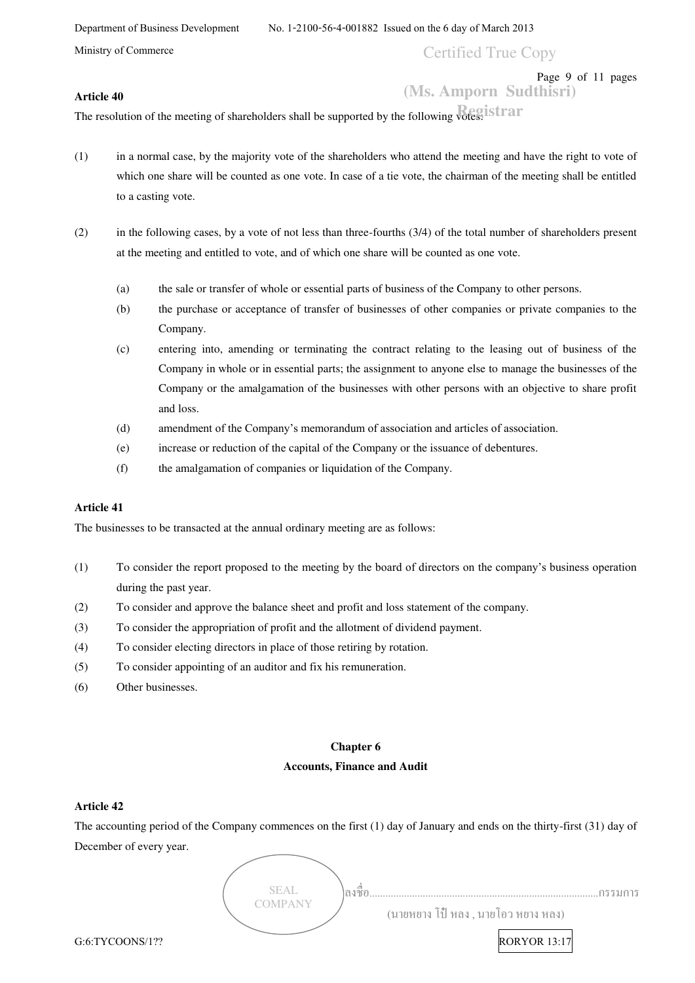Certified True Copy

#### **Article 40**

Page 9 of 11 pages **(Ms. Amporn Sudthisri)** 

The resolution of the meeting of shareholders shall be supported by the following votes: **Registrar** 

- (1) in a normal case, by the majority vote of the shareholders who attend the meeting and have the right to vote of which one share will be counted as one vote. In case of a tie vote, the chairman of the meeting shall be entitled to a casting vote.
- (2) in the following cases, by a vote of not less than three-fourths (3/4) of the total number of shareholders present at the meeting and entitled to vote, and of which one share will be counted as one vote.
	- (a) the sale or transfer of whole or essential parts of business of the Company to other persons.
	- (b) the purchase or acceptance of transfer of businesses of other companies or private companies to the Company.
	- (c) entering into, amending or terminating the contract relating to the leasing out of business of the Company in whole or in essential parts; the assignment to anyone else to manage the businesses of the Company or the amalgamation of the businesses with other persons with an objective to share profit and loss.
	- (d) amendment of the Company's memorandum of association and articles of association.
	- (e) increase or reduction of the capital of the Company or the issuance of debentures.
	- (f) the amalgamation of companies or liquidation of the Company.

#### **Article 41**

The businesses to be transacted at the annual ordinary meeting are as follows:

- (1) To consider the report proposed to the meeting by the board of directors on the company's business operation during the past year.
- (2) To consider and approve the balance sheet and profit and loss statement of the company.
- (3) To consider the appropriation of profit and the allotment of dividend payment.
- (4) To consider electing directors in place of those retiring by rotation.
- (5) To consider appointing of an auditor and fix his remuneration.
- (6) Other businesses.

#### **Chapter 6**

#### **Accounts, Finance and Audit**

#### **Article 42**

The accounting period of the Company commences on the first (1) day of January and ends on the thirty-first (31) day of December of every year.

> ลงชื่อ......................................................................................กรรมการ (นายหยาง โป๋ หลง , นายโอว หยาง หลง) SEAL COMPANY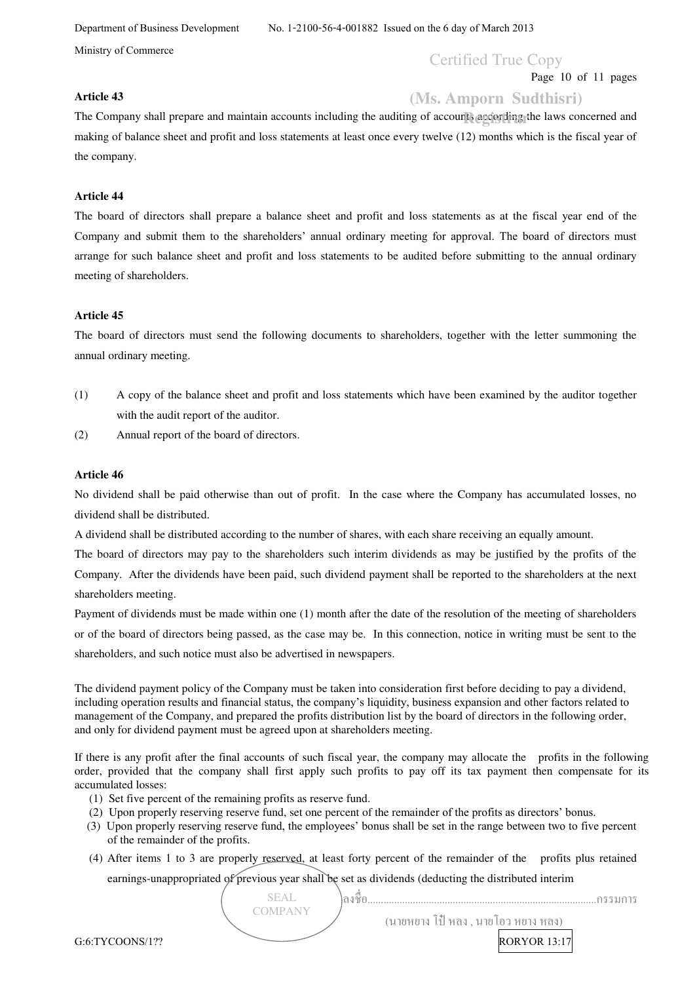Department of Business Development No. 1-2100-56-4-001882 Issued on the 6 day of March 2013

Ministry of Commerce

Page 10 of 11 pages Certified True Copy

#### **Article 43**

# **(Ms. Amporn Sudthisri)**

The Company shall prepare and maintain accounts including the auditing of accounts according the laws concerned and making of balance sheet and profit and loss statements at least once every twelve (12) months which is the fiscal year of the company.

#### **Article 44**

The board of directors shall prepare a balance sheet and profit and loss statements as at the fiscal year end of the Company and submit them to the shareholders' annual ordinary meeting for approval. The board of directors must arrange for such balance sheet and profit and loss statements to be audited before submitting to the annual ordinary meeting of shareholders.

#### **Article 45**

The board of directors must send the following documents to shareholders, together with the letter summoning the annual ordinary meeting.

- (1) A copy of the balance sheet and profit and loss statements which have been examined by the auditor together with the audit report of the auditor.
- (2) Annual report of the board of directors.

#### **Article 46**

No dividend shall be paid otherwise than out of profit. In the case where the Company has accumulated losses, no dividend shall be distributed.

A dividend shall be distributed according to the number of shares, with each share receiving an equally amount.

The board of directors may pay to the shareholders such interim dividends as may be justified by the profits of the Company. After the dividends have been paid, such dividend payment shall be reported to the shareholders at the next shareholders meeting.

Payment of dividends must be made within one (1) month after the date of the resolution of the meeting of shareholders or of the board of directors being passed, as the case may be. In this connection, notice in writing must be sent to the shareholders, and such notice must also be advertised in newspapers.

The dividend payment policy of the Company must be taken into consideration first before deciding to pay a dividend, including operation results and financial status, the company's liquidity, business expansion and other factors related to management of the Company, and prepared the profits distribution list by the board of directors in the following order, and only for dividend payment must be agreed upon at shareholders meeting.

If there is any profit after the final accounts of such fiscal year, the company may allocate the profits in the following order, provided that the company shall first apply such profits to pay off its tax payment then compensate for its accumulated losses:

- (1) Set five percent of the remaining profits as reserve fund.
- (2) Upon properly reserving reserve fund, set one percent of the remainder of the profits as directors' bonus.
- (3) Upon properly reserving reserve fund, the employees' bonus shall be set in the range between two to five percent of the remainder of the profits.
- (4) After items 1 to 3 are properly reserved, at least forty percent of the remainder of the profits plus retained earnings-unappropriated of previous year shall be set as dividends (deducting the distributed interim  $\mathbf{s}$

SEAL **COMPANY** 

(นายหยาง โป๋ หลง , นายโอว หยาง หลง)

G:6:TYCOONS/1?? RORYOR 13:17

ลงชื่อ......................................................................................กรรมการ